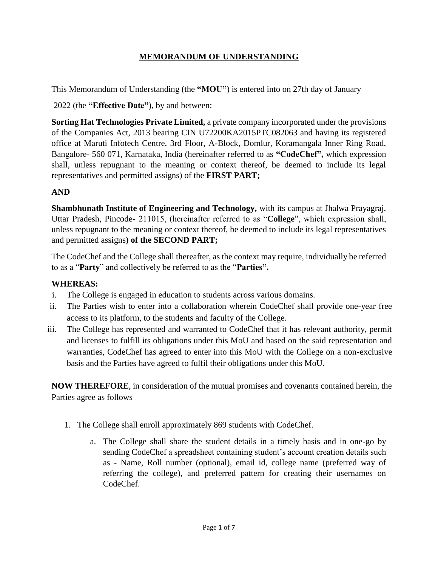# **MEMORANDUM OF UNDERSTANDING**

This Memorandum of Understanding (the **"MOU"**) is entered into on 27th day of January

2022 (the **"Effective Date"**), by and between:

**Sorting Hat Technologies Private Limited,** a private company incorporated under the provisions of the Companies Act, 2013 bearing CIN U72200KA2015PTC082063 and having its registered office at Maruti Infotech Centre, 3rd Floor, A-Block, Domlur, Koramangala Inner Ring Road, Bangalore- 560 071, Karnataka, India (hereinafter referred to as **"CodeChef",** which expression shall, unless repugnant to the meaning or context thereof, be deemed to include its legal representatives and permitted assigns) of the **FIRST PART;**

# **AND**

**Shambhunath Institute of Engineering and Technology,** with its campus at Jhalwa Prayagraj, Uttar Pradesh, Pincode- 211015, (hereinafter referred to as "**College**", which expression shall, unless repugnant to the meaning or context thereof, be deemed to include its legal representatives and permitted assigns**) of the SECOND PART;**

The CodeChef and the College shall thereafter, as the context may require, individually be referred to as a "**Party**" and collectively be referred to as the "**Parties".**

## **WHEREAS:**

- i. The College is engaged in education to students across various domains.
- ii. The Parties wish to enter into a collaboration wherein CodeChef shall provide one-year free access to its platform, to the students and faculty of the College.
- iii. The College has represented and warranted to CodeChef that it has relevant authority, permit and licenses to fulfill its obligations under this MoU and based on the said representation and warranties, CodeChef has agreed to enter into this MoU with the College on a non-exclusive basis and the Parties have agreed to fulfil their obligations under this MoU.

**NOW THEREFORE**, in consideration of the mutual promises and covenants contained herein, the Parties agree as follows

- 1. The College shall enroll approximately 869 students with CodeChef.
	- a. The College shall share the student details in a timely basis and in one-go by sending CodeChef a spreadsheet containing student's account creation details such as - Name, Roll number (optional), email id, college name (preferred way of referring the college), and preferred pattern for creating their usernames on CodeChef.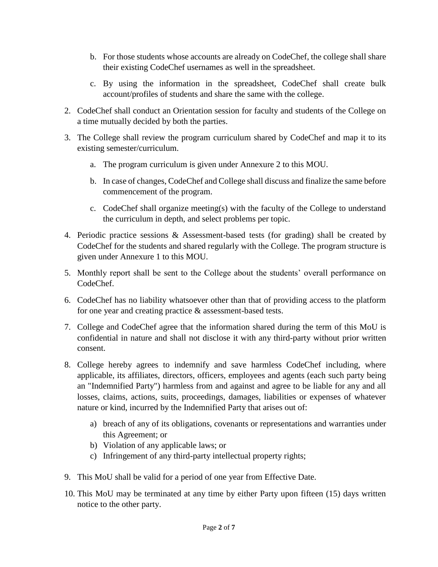- b. For those students whose accounts are already on CodeChef, the college shall share their existing CodeChef usernames as well in the spreadsheet.
- c. By using the information in the spreadsheet, CodeChef shall create bulk account/profiles of students and share the same with the college.
- 2. CodeChef shall conduct an Orientation session for faculty and students of the College on a time mutually decided by both the parties.
- 3. The College shall review the program curriculum shared by CodeChef and map it to its existing semester/curriculum.
	- a. The program curriculum is given under Annexure 2 to this MOU.
	- b. In case of changes, CodeChef and College shall discuss and finalize the same before commencement of the program.
	- c. CodeChef shall organize meeting(s) with the faculty of the College to understand the curriculum in depth, and select problems per topic.
- 4. Periodic practice sessions & Assessment-based tests (for grading) shall be created by CodeChef for the students and shared regularly with the College. The program structure is given under Annexure 1 to this MOU.
- 5. Monthly report shall be sent to the College about the students' overall performance on CodeChef.
- 6. CodeChef has no liability whatsoever other than that of providing access to the platform for one year and creating practice & assessment-based tests.
- 7. College and CodeChef agree that the information shared during the term of this MoU is confidential in nature and shall not disclose it with any third-party without prior written consent.
- 8. College hereby agrees to indemnify and save harmless CodeChef including, where applicable, its affiliates, directors, officers, employees and agents (each such party being an "Indemnified Party") harmless from and against and agree to be liable for any and all losses, claims, actions, suits, proceedings, damages, liabilities or expenses of whatever nature or kind, incurred by the Indemnified Party that arises out of:
	- a) breach of any of its obligations, covenants or representations and warranties under this Agreement; or
	- b) Violation of any applicable laws; or
	- c) Infringement of any third-party intellectual property rights;
- 9. This MoU shall be valid for a period of one year from Effective Date.
- 10. This MoU may be terminated at any time by either Party upon fifteen (15) days written notice to the other party.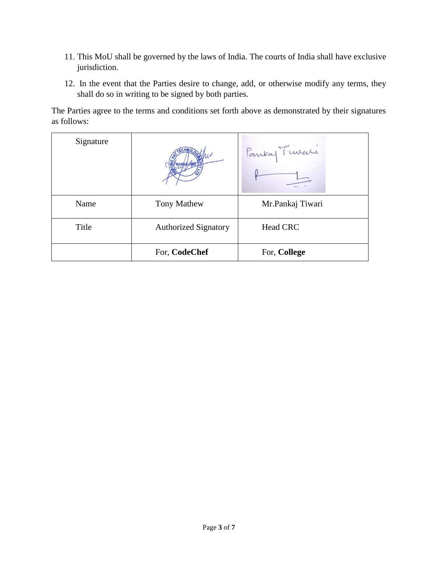- 11. This MoU shall be governed by the laws of India. The courts of India shall have exclusive jurisdiction.
- 12. In the event that the Parties desire to change, add, or otherwise modify any terms, they shall do so in writing to be signed by both parties.

The Parties agree to the terms and conditions set forth above as demonstrated by their signatures as follows:

| Signature |                             | Pankay Fineaci   |
|-----------|-----------------------------|------------------|
| Name      | <b>Tony Mathew</b>          | Mr.Pankaj Tiwari |
| Title     | <b>Authorized Signatory</b> | <b>Head CRC</b>  |
|           | For, CodeChef               | For, College     |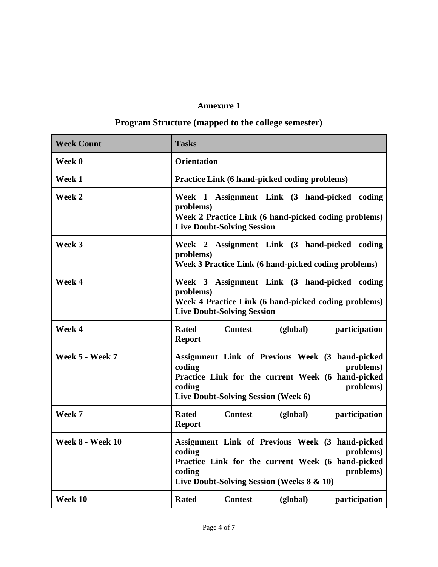# **Annexure 1**

# **Program Structure (mapped to the college semester)**

| <b>Week Count</b>       | <b>Tasks</b>                                                                                                                                                                                    |
|-------------------------|-------------------------------------------------------------------------------------------------------------------------------------------------------------------------------------------------|
| Week 0                  | <b>Orientation</b>                                                                                                                                                                              |
| Week 1                  | Practice Link (6 hand-picked coding problems)                                                                                                                                                   |
| Week 2                  | Week 1 Assignment Link (3 hand-picked coding<br>problems)<br>Week 2 Practice Link (6 hand-picked coding problems)<br><b>Live Doubt-Solving Session</b>                                          |
| Week 3                  | Week 2 Assignment Link (3 hand-picked coding<br>problems)<br>Week 3 Practice Link (6 hand-picked coding problems)                                                                               |
| Week 4                  | Week 3 Assignment Link (3 hand-picked coding<br>problems)<br>Week 4 Practice Link (6 hand-picked coding problems)<br><b>Live Doubt-Solving Session</b>                                          |
| Week 4                  | <b>Rated</b><br><b>Contest</b><br>(global)<br>participation<br><b>Report</b>                                                                                                                    |
| Week 5 - Week 7         | Assignment Link of Previous Week (3 hand-picked<br>coding<br>problems)<br>Practice Link for the current Week (6 hand-picked<br>coding<br>problems)<br>Live Doubt-Solving Session (Week 6)       |
| Week 7                  | <b>Rated</b><br><b>Contest</b><br>(global)<br>participation<br><b>Report</b>                                                                                                                    |
| <b>Week 8 - Week 10</b> | Assignment Link of Previous Week (3 hand-picked<br>coding<br>problems)<br>Practice Link for the current Week (6 hand-picked<br>coding<br>problems)<br>Live Doubt-Solving Session (Weeks 8 & 10) |
| Week 10                 | <b>Rated</b><br><b>Contest</b><br>(global)<br>participation                                                                                                                                     |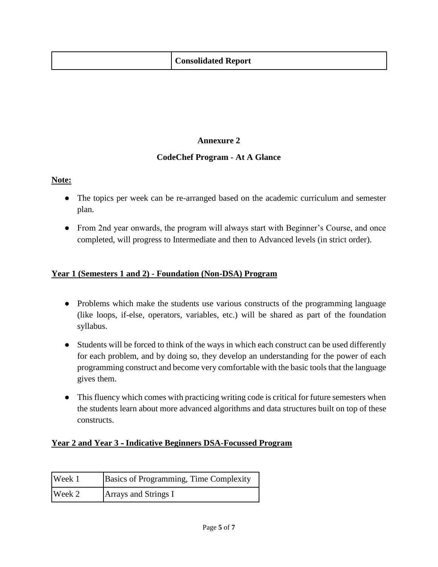| <b>Consolidated Report</b> |  |  |
|----------------------------|--|--|
|----------------------------|--|--|

# **Annexure 2**

#### **CodeChef Program - At A Glance**

# **Note:**

- The topics per week can be re-arranged based on the academic curriculum and semester plan.
- From 2nd year onwards, the program will always start with Beginner's Course, and once completed, will progress to Intermediate and then to Advanced levels (in strict order).

# **Year 1 (Semesters 1 and 2) - Foundation (Non-DSA) Program**

- Problems which make the students use various constructs of the programming language (like loops, if-else, operators, variables, etc.) will be shared as part of the foundation syllabus.
- Students will be forced to think of the ways in which each construct can be used differently for each problem, and by doing so, they develop an understanding for the power of each programming construct and become very comfortable with the basic tools that the language gives them.
- This fluency which comes with practicing writing code is critical for future semesters when the students learn about more advanced algorithms and data structures built on top of these constructs.

#### **Year 2 and Year 3 - Indicative Beginners DSA-Focussed Program**

| Week 1 | Basics of Programming, Time Complexity |
|--------|----------------------------------------|
| Week 2 | <b>Arrays and Strings I</b>            |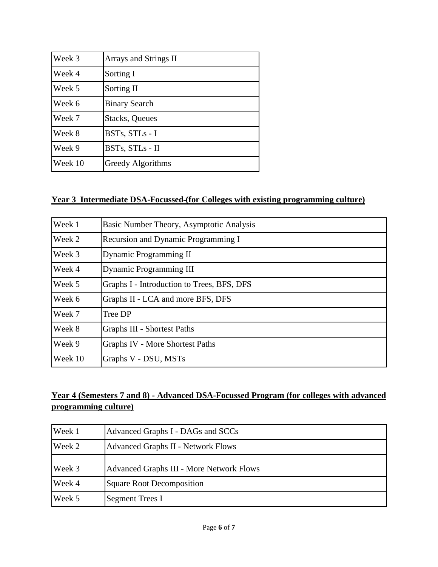| Week 3  | Arrays and Strings II |
|---------|-----------------------|
| Week 4  | Sorting I             |
| Week 5  | Sorting II            |
| Week 6  | <b>Binary Search</b>  |
| Week 7  | <b>Stacks, Queues</b> |
| Week 8  | BSTs, STLs - I        |
| Week 9  | BSTs, STLs - II       |
| Week 10 | Greedy Algorithms     |

# **Year 3 Intermediate DSA-Focussed (for Colleges with existing programming culture)**

| Week 1  | Basic Number Theory, Asymptotic Analysis   |
|---------|--------------------------------------------|
| Week 2  | Recursion and Dynamic Programming I        |
| Week 3  | Dynamic Programming II                     |
| Week 4  | <b>Dynamic Programming III</b>             |
| Week 5  | Graphs I - Introduction to Trees, BFS, DFS |
| Week 6  | Graphs II - LCA and more BFS, DFS          |
| Week 7  | Tree DP                                    |
| Week 8  | <b>Graphs III - Shortest Paths</b>         |
| Week 9  | Graphs IV - More Shortest Paths            |
| Week 10 | Graphs V - DSU, MSTs                       |

# **Year 4 (Semesters 7 and 8) - Advanced DSA-Focussed Program (for colleges with advanced programming culture)**

| Week 1 | Advanced Graphs I - DAGs and SCCs               |
|--------|-------------------------------------------------|
| Week 2 | <b>Advanced Graphs II - Network Flows</b>       |
| Week 3 | <b>Advanced Graphs III - More Network Flows</b> |
| Week 4 | <b>Square Root Decomposition</b>                |
| Week 5 | <b>Segment Trees I</b>                          |